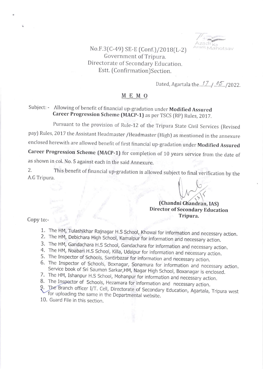

No.F.3 (C-49) SE-E (Conf.) / 2018 (L-2) Government of Tripura. Directorate of Secondary Education. Estt. (Confirmation)Section.

Dated, Agartata tne...1..7-.. 1 ..({..1zOZZ.

## $M E M O$

## Subject: - Allowing of benefit of financial up-gradation under Modified Assured Career Progression Scheme (MACP-1) as per TSCS (RP) Rules, 2017.

Pursuant to the provision of Rule-12 of the Tripura State Civil Services [Revised pay) Rules, 2017 the Assistant Headmaster /Headmaster (High) as mentioned in the annexure enclosed herewith are allowed benefit of first financial up-gradation under Modified Assured career Progression scheme (MACP-1) for completion of 10 years service from the date of as shown in col. No. 5 against each in the said Annexure.

A.G Tripura. This benefit of financial up-gradation is allowed subject to final verification by the 2

## (Chandni Chandran, IAS) Director of Secondary Education Tripura.

Copy to:-

- 1. The HM, Tulashikhar Rajnagar H.S School, Khowai for information and necessary action.<br>2. The HM, Debichara High School, Kamalpur for information and necessary action.<br>3. The HM, Gandachara H.S School, Gandachara for inf
- 
- 
- 
- 4. The HM, Noabari H.S School, Killa, Udaipur for information and necessary action.<br>5. The Inspector of Schools, Santirbazar for information and necessary action.
- 6. The Inspector of Schools, Boxnagar, Sonamura for information and necessary action.<br>Service book of Sri Saumen Sarkar, HM, Nagar High School, Boxanagar is enclosed.<br>7. The HM, Ishanpur H.S School, Mohanpur for informatio
- 
- 

8. The Inspector of Schools, Hezamara for information and necessary action.<br>9. The Branch officer I/T. Cell, Directorate of Secondary Education, Agartala, Tripura west for uploading the same in the Departmental website. 10. Guard File in this section